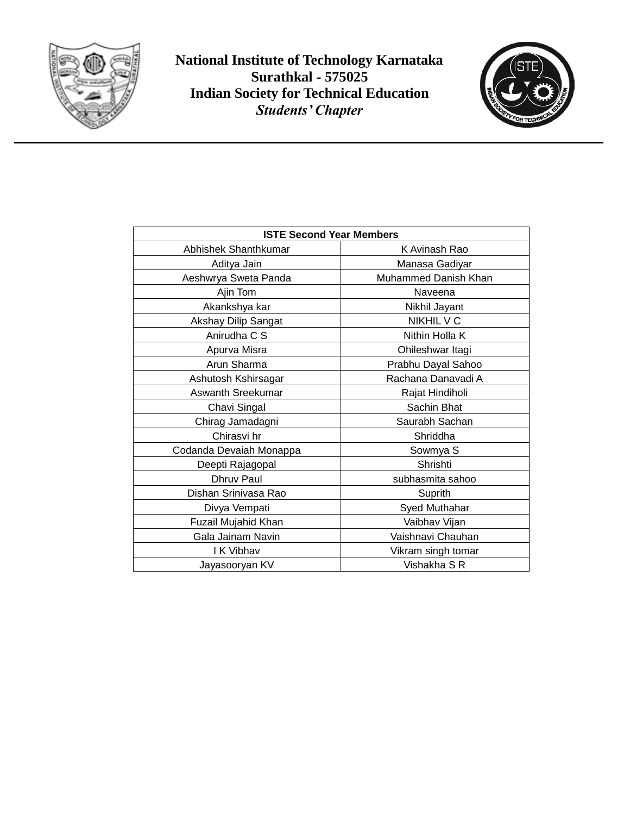

**National Institute of Technology Karnataka Surathkal - 575025 Indian Society for Technical Education** *Students' Chapter*



| <b>ISTE Second Year Members</b> |                      |
|---------------------------------|----------------------|
| Abhishek Shanthkumar            | K Avinash Rao        |
| Aditya Jain                     | Manasa Gadiyar       |
| Aeshwrya Sweta Panda            | Muhammed Danish Khan |
| Ajin Tom                        | Naveena              |
| Akankshya kar                   | Nikhil Jayant        |
| Akshay Dilip Sangat             | NIKHIL V C           |
| Anirudha C S                    | Nithin Holla K       |
| Apurva Misra                    | Ohileshwar Itagi     |
| Arun Sharma                     | Prabhu Dayal Sahoo   |
| Ashutosh Kshirsagar             | Rachana Danavadi A   |
| Aswanth Sreekumar               | Rajat Hindiholi      |
| Chavi Singal                    | Sachin Bhat          |
| Chirag Jamadagni                | Saurabh Sachan       |
| Chirasvi hr                     | Shriddha             |
| Codanda Devaiah Monappa         | Sowmya S             |
| Deepti Rajagopal                | Shrishti             |
| Dhruy Paul                      | subhasmita sahoo     |
| Dishan Srinivasa Rao            | Suprith              |
| Divya Vempati                   | Syed Muthahar        |
| Fuzail Mujahid Khan             | Vaibhav Vijan        |
| Gala Jainam Navin               | Vaishnavi Chauhan    |
| I K Vibhav                      | Vikram singh tomar   |
| Jayasooryan KV                  | Vishakha S R         |